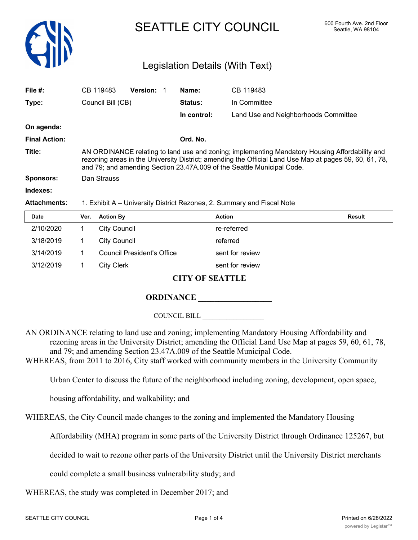

# SEATTLE CITY COUNCIL 600 Fourth Ave. 2nd Floor

# Legislation Details (With Text)

| File $#$ :           | CB 119483                                                                                                                                                                                                                                                                          | <b>Version:</b> |         | Name:        | CB 119483                            |
|----------------------|------------------------------------------------------------------------------------------------------------------------------------------------------------------------------------------------------------------------------------------------------------------------------------|-----------------|---------|--------------|--------------------------------------|
| Type:                | Council Bill (CB)                                                                                                                                                                                                                                                                  |                 | Status: | In Committee |                                      |
|                      |                                                                                                                                                                                                                                                                                    |                 |         | In control:  | Land Use and Neighborhoods Committee |
| On agenda:           |                                                                                                                                                                                                                                                                                    |                 |         |              |                                      |
| <b>Final Action:</b> |                                                                                                                                                                                                                                                                                    |                 |         | Ord. No.     |                                      |
| Title:               | AN ORDINANCE relating to land use and zoning; implementing Mandatory Housing Affordability and<br>rezoning areas in the University District; amending the Official Land Use Map at pages 59, 60, 61, 78,<br>and 79; and amending Section 23.47A.009 of the Seattle Municipal Code. |                 |         |              |                                      |
| <b>Sponsors:</b>     | Dan Strauss                                                                                                                                                                                                                                                                        |                 |         |              |                                      |
| Indexes:             |                                                                                                                                                                                                                                                                                    |                 |         |              |                                      |
| <b>Attachments:</b>  | 1. Exhibit A – University District Rezones, 2. Summary and Fiscal Note                                                                                                                                                                                                             |                 |         |              |                                      |
| $B - 4 -$            | $M_{\rm BH}$ and $\sim$                                                                                                                                                                                                                                                            |                 |         |              | <b>B</b> - - - - 14                  |

| <b>Date</b> | Ver. | <b>Action By</b>                  | <b>Action</b>   | <b>Result</b> |
|-------------|------|-----------------------------------|-----------------|---------------|
| 2/10/2020   |      | City Council                      | re-referred     |               |
| 3/18/2019   |      | City Council                      | referred        |               |
| 3/14/2019   |      | <b>Council President's Office</b> | sent for review |               |
| 3/12/2019   |      | <b>City Clerk</b>                 | sent for review |               |
|             |      |                                   |                 |               |

# **CITY OF SEATTLE**

# **ORDINANCE**

COUNCIL BILL \_\_\_\_\_\_\_\_\_\_\_\_\_\_\_\_\_\_

AN ORDINANCE relating to land use and zoning; implementing Mandatory Housing Affordability and rezoning areas in the University District; amending the Official Land Use Map at pages 59, 60, 61, 78, and 79; and amending Section 23.47A.009 of the Seattle Municipal Code.

WHEREAS, from 2011 to 2016, City staff worked with community members in the University Community

Urban Center to discuss the future of the neighborhood including zoning, development, open space,

housing affordability, and walkability; and

WHEREAS, the City Council made changes to the zoning and implemented the Mandatory Housing

Affordability (MHA) program in some parts of the University District through Ordinance 125267, but

decided to wait to rezone other parts of the University District until the University District merchants

could complete a small business vulnerability study; and

WHEREAS, the study was completed in December 2017; and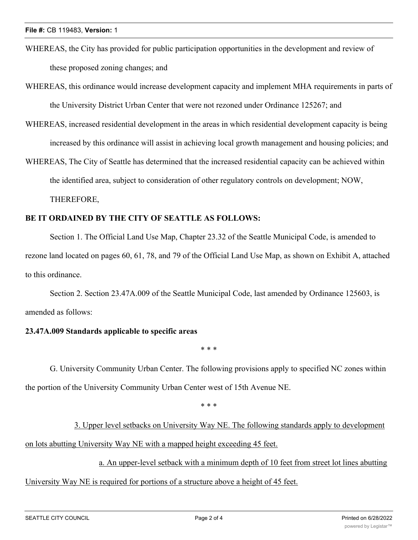- WHEREAS, the City has provided for public participation opportunities in the development and review of these proposed zoning changes; and
- WHEREAS, this ordinance would increase development capacity and implement MHA requirements in parts of the University District Urban Center that were not rezoned under Ordinance 125267; and
- WHEREAS, increased residential development in the areas in which residential development capacity is being increased by this ordinance will assist in achieving local growth management and housing policies; and
- WHEREAS, The City of Seattle has determined that the increased residential capacity can be achieved within the identified area, subject to consideration of other regulatory controls on development; NOW, THEREFORE,

### **BE IT ORDAINED BY THE CITY OF SEATTLE AS FOLLOWS:**

Section 1. The Official Land Use Map, Chapter 23.32 of the Seattle Municipal Code, is amended to rezone land located on pages 60, 61, 78, and 79 of the Official Land Use Map, as shown on Exhibit A, attached to this ordinance.

Section 2. Section 23.47A.009 of the Seattle Municipal Code, last amended by Ordinance 125603, is amended as follows:

#### **23.47A.009 Standards applicable to specific areas**

\* \* \*

G. University Community Urban Center. The following provisions apply to specified NC zones within the portion of the University Community Urban Center west of 15th Avenue NE.

\* \* \*

3. Upper level setbacks on University Way NE. The following standards apply to development on lots abutting University Way NE with a mapped height exceeding 45 feet.

a. An upper-level setback with a minimum depth of 10 feet from street lot lines abutting

University Way NE is required for portions of a structure above a height of 45 feet.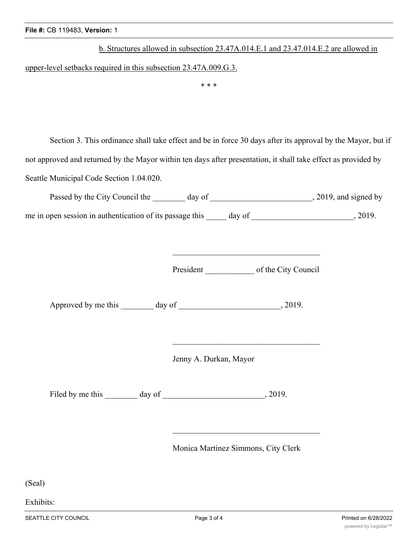| b. Structures allowed in subsection 23.47A.014.E.1 and 23.47.014.E.2 are allowed in |  |  |  |  |  |
|-------------------------------------------------------------------------------------|--|--|--|--|--|
| upper-level setbacks required in this subsection $23.47A.009.G.3$ .                 |  |  |  |  |  |
| * * *                                                                               |  |  |  |  |  |
|                                                                                     |  |  |  |  |  |
|                                                                                     |  |  |  |  |  |

Section 3. This ordinance shall take effect and be in force 30 days after its approval by the Mayor, but if not approved and returned by the Mayor within ten days after presentation, it shall take effect as provided by Seattle Municipal Code Section 1.04.020.

| Passed by the City Council the                           | day of |        | , 2019, and signed by |
|----------------------------------------------------------|--------|--------|-----------------------|
| me in open session in authentication of its passage this |        | day of | 2019.                 |

President of the City Council

Approved by me this \_\_\_\_\_\_\_ day of \_\_\_\_\_\_\_\_\_\_\_\_\_\_\_\_\_\_\_\_\_\_\_, 2019.

Jenny A. Durkan, Mayor

Filed by me this \_\_\_\_\_\_\_ day of \_\_\_\_\_\_\_\_\_\_\_\_\_\_\_\_\_\_\_\_\_\_\_\_\_, 2019.

Monica Martinez Simmons, City Clerk

(Seal)

Exhibits: